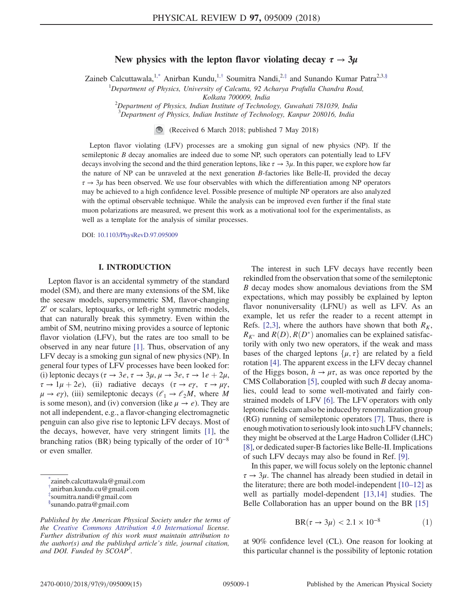# New physics with the lepton flavor violating decay  $\tau \rightarrow 3\mu$

Zaineb Calcuttawala,<sup>1,\*</sup> Anirban Kundu,<sup>1,†</sup> Soumitra Nandi,<sup>2,‡</sup> and Sunando Kumar Patra<sup>2,3,§</sup>

<sup>1</sup>Department of Physics, University of Calcutta, 92 Acharya Prafulla Chandra Road, Kolkata 700009, India

 $2$ Department of Physics, Indian Institute of Technology, Guwahati 781039, India

 $3$ Department of Physics, Indian Institute of Technology, Kanpur 208016, India

(Received 6 March 2018; published 7 May 2018)

Lepton flavor violating (LFV) processes are a smoking gun signal of new physics (NP). If the semileptonic B decay anomalies are indeed due to some NP, such operators can potentially lead to LFV decays involving the second and the third generation leptons, like  $\tau \to 3\mu$ . In this paper, we explore how far the nature of NP can be unraveled at the next generation  $B$ -factories like Belle-II, provided the decay  $\tau \to 3\mu$  has been observed. We use four observables with which the differentiation among NP operators may be achieved to a high confidence level. Possible presence of multiple NP operators are also analyzed with the optimal observable technique. While the analysis can be improved even further if the final state muon polarizations are measured, we present this work as a motivational tool for the experimentalists, as well as a template for the analysis of similar processes.

DOI: 10.1103/PhysRevD.97.095009

## I. INTRODUCTION

Lepton flavor is an accidental symmetry of the standard model (SM), and there are many extensions of the SM, like the seesaw models, supersymmetric SM, flavor-changing Z' or scalars, leptoquarks, or left-right symmetric models, that can naturally break this symmetry. Even within the ambit of SM, neutrino mixing provides a source of leptonic flavor violation (LFV), but the rates are too small to be observed in any near future [1]. Thus, observation of any LFV decay is a smoking gun signal of new physics (NP). In general four types of LFV processes have been looked for: (i) leptonic decays ( $\tau \to 3e$ ,  $\tau \to 3\mu$ ,  $\mu \to 3e$ ,  $\tau \to 1e + 2\mu$ ,  $\tau \to 1\mu + 2e$ , (ii) radiative decays  $(\tau \to e\gamma, \tau \to \mu\gamma,$  $\mu \rightarrow e\gamma$ ), (iii) semileptonic decays ( $\ell_1 \rightarrow \ell_2M$ , where M is some meson), and (iv) conversion (like  $\mu \rightarrow e$ ). They are not all independent, e.g., a flavor-changing electromagnetic penguin can also give rise to leptonic LFV decays. Most of the decays, however, have very stringent limits [1], the branching ratios (BR) being typically of the order of  $10^{-8}$ or even smaller.

The interest in such LFV decays have recently been rekindled from the observation that some of the semileptonic B decay modes show anomalous deviations from the SM expectations, which may possibly be explained by lepton flavor nonuniversality (LFNU) as well as LFV. As an example, let us refer the reader to a recent attempt in Refs. [2,3], where the authors have shown that both  $R_K$ ,  $R_{K^*}$  and  $R(D), R(D^*)$  anomalies can be explained satisfactorily with only two new operators, if the weak and mass bases of the charged leptons  $\{\mu, \tau\}$  are related by a field rotation [4]. The apparent excess in the LFV decay channel of the Higgs boson,  $h \to \mu \tau$ , as was once reported by the CMS Collaboration [5], coupled with such  $B$  decay anomalies, could lead to some well-motivated and fairly constrained models of LFV [6]. The LFV operators with only leptonic fields cam also be induced by renormalization group (RG) running of semileptonic operators [7]. Thus, there is enough motivation to seriously look into such LFV channels; they might be observed at the Large Hadron Collider (LHC) [8], or dedicated super-B factories like Belle-II. Implications of such LFV decays may also be found in Ref. [9].

In this paper, we will focus solely on the leptonic channel  $\tau \rightarrow 3\mu$ . The channel has already been studied in detail in the literature; there are both model-independent  $[10-12]$  as well as partially model-dependent [13,14] studies. The Belle Collaboration has an upper bound on the BR [15]

$$
BR(\tau \to 3\mu) < 2.1 \times 10^{-8} \tag{1}
$$

at 90% confidence level (CL). One reason for looking at this particular channel is the possibility of leptonic rotation

<sup>\*</sup> zaineb.calcuttawala@gmail.com

<sup>†</sup> anirban.kundu.cu@gmail.com

<sup>‡</sup> soumitra.nandi@gmail.com

<sup>§</sup> sunando.patra@gmail.com

Published by the American Physical Society under the terms of the Creative Commons Attribution 4.0 International license. Further distribution of this work must maintain attribution to the author(s) and the published article's title, journal citation, and DOI. Funded by  $\dot{S}COAP^3$ .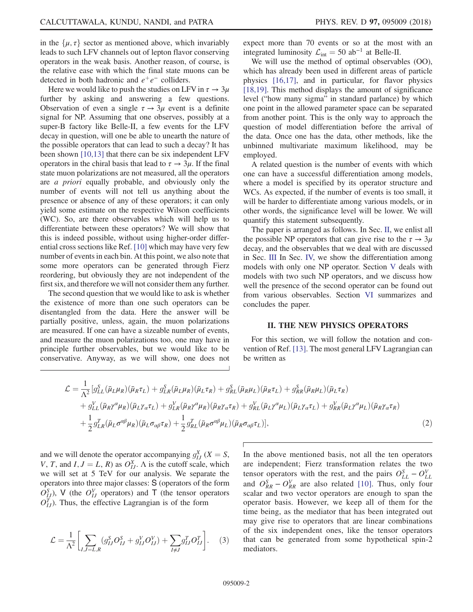in the  $\{\mu, \tau\}$  sector as mentioned above, which invariably leads to such LFV channels out of lepton flavor conserving operators in the weak basis. Another reason, of course, is the relative ease with which the final state muons can be detected in both hadronic and  $e^+e^-$  colliders.

Here we would like to push the studies on LFV in  $\tau \to 3\mu$ further by asking and answering a few questions. Observation of even a single  $\tau \rightarrow 3\mu$  event is a definite signal for NP. Assuming that one observes, possibly at a super-B factory like Belle-II, a few events for the LFV decay in question, will one be able to unearth the nature of the possible operators that can lead to such a decay? It has been shown [10,13] that there can be six independent LFV operators in the chiral basis that lead to  $\tau \to 3\mu$ . If the final state muon polarizations are not measured, all the operators are a priori equally probable, and obviously only the number of events will not tell us anything about the presence or absence of any of these operators; it can only yield some estimate on the respective Wilson coefficients (WC). So, are there observables which will help us to differentiate between these operators? We will show that this is indeed possible, without using higher-order differential cross sections like Ref. [10] which may have very few number of events in each bin. At this point, we also note that some more operators can be generated through Fierz reordering, but obviously they are not independent of the first six, and therefore we will not consider them any further.

The second question that we would like to ask is whether the existence of more than one such operators can be disentangled from the data. Here the answer will be partially positive, unless, again, the muon polarizations are measured. If one can have a sizeable number of events, and measure the muon polarizations too, one may have in principle further observables, but we would like to be conservative. Anyway, as we will show, one does not expect more than 70 events or so at the most with an integrated luminosity  $\mathcal{L}_{int} = 50$  ab<sup>-1</sup> at Belle-II.

We will use the method of optimal observables (OO), which has already been used in different areas of particle physics [16,17], and in particular, for flavor physics [18,19]. This method displays the amount of significance level ("how many sigma" in standard parlance) by which one point in the allowed parameter space can be separated from another point. This is the only way to approach the question of model differentiation before the arrival of the data. Once one has the data, other methods, like the unbinned multivariate maximum likelihood, may be employed.

A related question is the number of events with which one can have a successful differentiation among models, where a model is specified by its operator structure and WCs. As expected, if the number of events is too small, it will be harder to differentiate among various models, or in other words, the significance level will be lower. We will quantify this statement subsequently.

The paper is arranged as follows. In Sec. II, we enlist all the possible NP operators that can give rise to the  $\tau \to 3\mu$ decay, and the observables that we deal with are discussed in Sec. III In Sec. IV, we show the differentiation among models with only one NP operator. Section V deals with models with two such NP operators, and we discuss how well the presence of the second operator can be found out from various observables. Section VI summarizes and concludes the paper.

#### II. THE NEW PHYSICS OPERATORS

For this section, we will follow the notation and convention of Ref. [13]. The most general LFV Lagrangian can be written as

$$
\mathcal{L} = \frac{1}{\Lambda^2} \left[ g_{LL}^S(\bar{\mu}_L \mu_R)(\bar{\mu}_R \tau_L) + g_{LR}^S(\bar{\mu}_L \mu_R)(\bar{\mu}_L \tau_R) + g_{RL}^S(\bar{\mu}_R \mu_L)(\bar{\mu}_R \tau_L) + g_{RR}^S(\bar{\mu}_R \mu_L)(\bar{\mu}_L \tau_R) \right. \\ \left. + g_{LL}^V(\bar{\mu}_R \gamma^\alpha \mu_R)(\bar{\mu}_L \gamma_\alpha \tau_L) + g_{LR}^V(\bar{\mu}_R \gamma^\alpha \mu_R)(\bar{\mu}_R \gamma_\alpha \tau_R) + g_{RL}^V(\bar{\mu}_L \gamma^\alpha \mu_L)(\bar{\mu}_L \gamma_\alpha \tau_L) + g_{RR}^V(\bar{\mu}_L \gamma^\alpha \mu_L)(\bar{\mu}_R \gamma_\alpha \tau_R) \right. \\ \left. + \frac{1}{2} g_{LR}^T(\bar{\mu}_L \sigma^{\alpha \beta} \mu_R)(\bar{\mu}_L \sigma_{\alpha \beta} \tau_R) + \frac{1}{2} g_{RL}^T(\bar{\mu}_R \sigma^{\alpha \beta} \mu_L)(\bar{\mu}_R \sigma_{\alpha \beta} \tau_L) \right], \tag{2}
$$

and we will denote the operator accompanying  $g_{IJ}^X$  ( $X = S$ , V, T, and I,  $J = L$ , R) as  $O_{IJ}^X$ . A is the cutoff scale, which we will set at 5 TeV for our analysis. We separate the operators into three major classes: S (operators of the form  $\overline{O_{IJ}^S}$ ), V (the  $O_{IJ}^V$  operators) and T (the tensor operators  $O_{IJ}^T$ ). Thus, the effective Lagrangian is of the form

$$
\mathcal{L} = \frac{1}{\Lambda^2} \left[ \sum_{I,J=L,R} (g_{IJ}^S O_{IJ}^S + g_{IJ}^V O_{IJ}^V) + \sum_{I \neq J} g_{IJ}^T O_{IJ}^T \right].
$$
 (3)

In the above mentioned basis, not all the ten operators are independent; Fierz transformation relates the two tensor operators with the rest, and the pairs  $O_{LL}^S - O_{LL}^V$ and  $O_{RR}^S - O_{RR}^V$  are also related [10]. Thus, only four scalar and two vector operators are enough to span the operator basis. However, we keep all of them for the time being, as the mediator that has been integrated out may give rise to operators that are linear combinations of the six independent ones, like the tensor operators that can be generated from some hypothetical spin-2 mediators.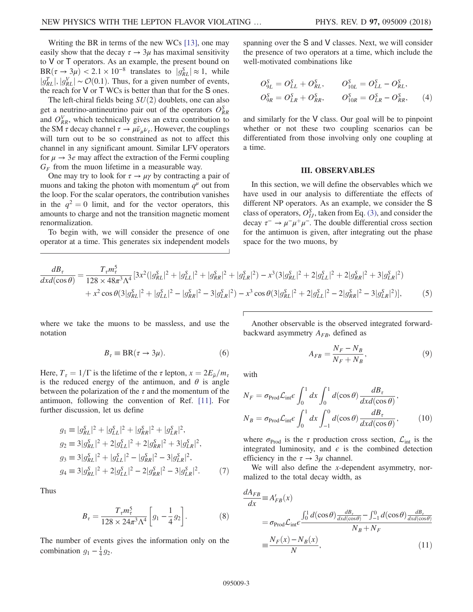Writing the BR in terms of the new WCs [13], one may easily show that the decay  $\tau \to 3\mu$  has maximal sensitivity to V or T operators. As an example, the present bound on  $BR(\tau \to 3\mu) < 2.1 \times 10^{-8}$  translates to  $|g_{RL}^S| \approx 1$ , while  $|g_{RL}^T|, |g_{RL}^V| \sim \mathcal{O}(0.1)$ . Thus, for a given number of events, the reach for  $V$  or  $T$  WCs is better than that for the  $S$  ones.

The left-chiral fields being  $SU(2)$  doublets, one can also get a neutrino-antineutrino pair out of the operators  $O_{RR}^{S}$ and  $O_{RR}^V$ , which technically gives an extra contribution to the SM  $\tau$  decay channel  $\tau \to \mu \bar{\nu}_{\mu} \nu_{\tau}$ . However, the couplings will turn out to be so constrained as not to affect this channel in any significant amount. Similar LFV operators for  $\mu \rightarrow 3e$  may affect the extraction of the Fermi coupling  $G_F$  from the muon lifetime in a measurable way.

One may try to look for  $\tau \to \mu \gamma$  by contracting a pair of muons and taking the photon with momentum  $q^{\mu}$  out from the loop. For the scalar operators, the contribution vanishes in the  $q^2 = 0$  limit, and for the vector operators, this amounts to charge and not the transition magnetic moment renormalization.

To begin with, we will consider the presence of one operator at a time. This generates six independent models spanning over the S and V classes. Next, we will consider the presence of two operators at a time, which include the well-motivated combinations like

$$
O_{9L}^{S} = O_{LL}^{S} + O_{RL}^{S}, \t O_{10L}^{S} = O_{LL}^{S} - O_{RL}^{S},
$$
  
\n
$$
O_{9R}^{S} = O_{LR}^{S} + O_{RR}^{S}, \t O_{10R}^{S} = O_{LR}^{S} - O_{RR}^{S}, \t (4)
$$

and similarly for the V class. Our goal will be to pinpoint whether or not these two coupling scenarios can be differentiated from those involving only one coupling at a time.

#### III. OBSERVABLES

In this section, we will define the observables which we have used in our analysis to differentiate the effects of different NP operators. As an example, we consider the S class of operators,  $O_{IJ}^S$ , taken from Eq. (3), and consider the decay  $\tau^- \to \mu^- \mu^+ \mu^-$ . The double differential cross section for the antimuon is given, after integrating out the phase space for the two muons, by

$$
\frac{dB_{\tau}}{dx d(\cos\theta)} = \frac{T_{\tau} m_{\tau}^{5}}{128 \times 48\pi^{3} \Lambda^{4}} [3x^{2} (|g_{RL}^{S}|^{2} + |g_{LL}^{S}|^{2} + |g_{RR}^{S}|^{2} + |g_{LR}^{S}|^{2}) - x^{3} (3|g_{RL}^{S}|^{2} + 2|g_{LL}^{S}|^{2} + 2|g_{RR}^{S}|^{2} + 3|g_{LR}^{S}|^{2})
$$
  
+  $x^{2} \cos\theta (3|g_{RL}^{S}|^{2} + |g_{LL}^{S}|^{2} - |g_{RR}^{S}|^{2} - 3|g_{LR}^{S}|^{2}) - x^{3} \cos\theta (3|g_{RL}^{S}|^{2} + 2|g_{LL}^{S}|^{2} - 2|g_{RR}^{S}|^{2} - 3|g_{LR}^{S}|^{2})],$  (5)

where we take the muons to be massless, and use the notation

$$
B_{\tau}\equiv {\rm BR}(\tau\to 3\mu).\eqno(6)
$$

Here,  $T_{\tau} = 1/\Gamma$  is the lifetime of the  $\tau$  lepton,  $x = 2E_{\bar{\mu}}/m_{\tau}$ is the reduced energy of the antimuon, and  $\theta$  is angle between the polarization of the  $\tau$  and the momentum of the antimuon, following the convention of Ref. [11]. For further discussion, let us define

$$
g_1 \equiv |g_{RL}^S|^2 + |g_{LL}^S|^2 + |g_{RR}^S|^2 + |g_{LR}^S|^2,
$$
  
\n
$$
g_2 \equiv 3|g_{RL}^S|^2 + 2|g_{LL}^S|^2 + 2|g_{RR}^S|^2 + 3|g_{LR}^S|^2,
$$
  
\n
$$
g_3 \equiv 3|g_{RL}^S|^2 + |g_{LL}^S|^2 - |g_{RR}^S|^2 - 3|g_{LR}^S|^2,
$$
  
\n
$$
g_4 \equiv 3|g_{RL}^S|^2 + 2|g_{LL}^S|^2 - 2|g_{RR}^S|^2 - 3|g_{LR}^S|^2. \tag{7}
$$

Thus

$$
B_{\tau} = \frac{T_{\tau} m_{\tau}^{5}}{128 \times 24\pi^{3} \Lambda^{4}} \left[ g_{1} - \frac{1}{4} g_{2} \right]. \tag{8}
$$

The number of events gives the information only on the combination  $g_1 - \frac{1}{4} g_2$ .

Another observable is the observed integrated forwardbackward asymmetry  $A_{FB}$ , defined as

$$
A_{FB} = \frac{N_F - N_B}{N_F + N_B},\tag{9}
$$

with

$$
N_F = \sigma_{\text{Prod}} \mathcal{L}_{\text{int}} \epsilon \int_0^1 dx \int_0^1 d(\cos \theta) \frac{dB_\tau}{dx d(\cos \theta)},
$$
  

$$
N_B = \sigma_{\text{Prod}} \mathcal{L}_{\text{int}} \epsilon \int_0^1 dx \int_{-1}^0 d(\cos \theta) \frac{dB_\tau}{dx d(\cos \theta)},
$$
(10)

where  $\sigma_{\text{Prod}}$  is the  $\tau$  production cross section,  $\mathcal{L}_{\text{int}}$  is the integrated luminosity, and  $\epsilon$  is the combined detection efficiency in the  $\tau \to 3\mu$  channel.

We will also define the  $x$ -dependent asymmetry, normalized to the total decay width, as

$$
\frac{dA_{FB}}{dx} = A'_{FB}(x)
$$
\n
$$
= \sigma_{\text{Prod}} \mathcal{L}_{\text{int}} \epsilon \frac{\int_0^1 d(\cos \theta) \frac{dB_t}{dx d(\cos \theta)} - \int_{-1}^0 d(\cos \theta) \frac{dB_t}{dx d(\cos \theta)}}{N_B + N_F}
$$
\n
$$
\equiv \frac{N_F(x) - N_B(x)}{N},
$$
\n(11)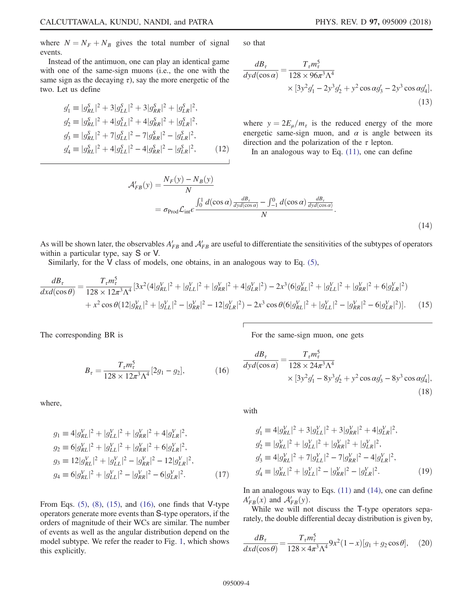where  $N = N_F + N_B$  gives the total number of signal events.

Instead of the antimuon, one can play an identical game with one of the same-sign muons (i.e., the one with the same sign as the decaying  $\tau$ ), say the more energetic of the two. Let us define

$$
g'_1 \equiv |g_{RL}^S|^2 + 3|g_{LL}^S|^2 + 3|g_{RR}^S|^2 + |g_{LR}^S|^2,
$$
  
\n
$$
g'_2 \equiv |g_{RL}^S|^2 + 4|g_{LL}^S|^2 + 4|g_{RR}^S|^2 + |g_{LR}^S|^2,
$$
  
\n
$$
g'_3 \equiv |g_{RL}^S|^2 + 7|g_{LL}^S|^2 - 7|g_{RR}^S|^2 - |g_{LR}^S|^2,
$$
  
\n
$$
g'_4 \equiv |g_{RL}^S|^2 + 4|g_{LL}^S|^2 - 4|g_{RR}^S|^2 - |g_{LR}^S|^2,
$$
\n(12)

so that

$$
\frac{dB_{\tau}}{dyd(\cos\alpha)} = \frac{T_{\tau}m_{\tau}^{5}}{128 \times 96\pi^{3}\Lambda^{4}} \times [3y^{2}g_{1}' - 2y^{3}g_{2}' + y^{2}\cos\alpha g_{3}' - 2y^{3}\cos\alpha g_{4}'],
$$
\n(13)

where  $y = 2E_{\mu}/m_{\tau}$  is the reduced energy of the more energetic same-sign muon, and  $\alpha$  is angle between its direction and the polarization of the  $\tau$  lepton.

In an analogous way to Eq.  $(11)$ , one can define

$$
\mathcal{A}'_{FB}(y) = \frac{N_F(y) - N_B(y)}{N}
$$
  
=  $\sigma_{\text{Prod}} \mathcal{L}_{\text{int}} \epsilon \frac{\int_0^1 d(\cos \alpha) \frac{dB_z}{dyd(\cos \alpha)} - \int_{-1}^0 d(\cos \alpha) \frac{dB_z}{dyd(\cos \alpha)}}{N}$ . (14)

As will be shown later, the observables  $A'_{FB}$  and  $A'_{FB}$  are useful to differentiate the sensitivities of the subtypes of operators within a particular type, say S or V.

Similarly, for the V class of models, one obtains, in an analogous way to Eq.  $(5)$ ,

$$
\frac{dB_{\tau}}{dx d(\cos\theta)} = \frac{T_{\tau} m_{\tau}^{5}}{128 \times 12\pi^{3} \Lambda^{4}} [3x^{2}(4|g_{RL}^{V}|^{2} + |g_{LL}^{V}|^{2} + |g_{RR}^{V}|^{2} + 4|g_{LR}^{V}|^{2}) - 2x^{3}(6|g_{RL}^{V}|^{2} + |g_{LL}^{V}|^{2} + |g_{RR}^{V}|^{2} + 6|g_{LR}^{V}|^{2})
$$
  
+  $x^{2} \cos\theta (12|g_{RL}^{V}|^{2} + |g_{LL}^{V}|^{2} - |g_{RR}^{V}|^{2} - 12|g_{LR}^{V}|^{2}) - 2x^{3} \cos\theta (6|g_{RL}^{V}|^{2} + |g_{LL}^{V}|^{2} - |g_{RR}^{V}|^{2} - 6|g_{LR}^{V}|^{2})].$  (15)

The corresponding BR is

For the same-sign muon, one gets

$$
B_{\tau} = \frac{T_{\tau} m_{\tau}^5}{128 \times 12\pi^3 \Lambda^4} [2g_1 - g_2],\tag{16}
$$

where,

$$
g_1 \equiv 4|g_{RL}^V|^2 + |g_{LL}^V|^2 + |g_{RR}^V|^2 + 4|g_{LR}^V|^2,
$$
  
\n
$$
g_2 \equiv 6|g_{RL}^V|^2 + |g_{LL}^V|^2 + |g_{RR}^V|^2 + 6|g_{LR}^V|^2,
$$
  
\n
$$
g_3 \equiv 12|g_{RL}^V|^2 + |g_{LL}^V|^2 - |g_{RR}^V|^2 - 12|g_{LR}^V|^2,
$$
  
\n
$$
g_4 \equiv 6|g_{RL}^V|^2 + |g_{LL}^V|^2 - |g_{RR}^V|^2 - 6|g_{LR}^V|^2.
$$
\n(17)

From Eqs.  $(5)$ ,  $(8)$ ,  $(15)$ , and  $(16)$ , one finds that V-type operators generate more events than S-type operators, if the orders of magnitude of their WCs are similar. The number of events as well as the angular distribution depend on the model subtype. We refer the reader to Fig. 1, which shows this explicitly.

$$
\frac{dB_{\tau}}{dyd(\cos\alpha)} = \frac{T_{\tau}m_{\tau}^{5}}{128 \times 24\pi^{3}\Lambda^{4}} \times [3y^{2}g_{1}' - 8y^{3}g_{2}' + y^{2}\cos\alpha g_{3}' - 8y^{3}\cos\alpha g_{4}'],
$$
\n(18)

with

$$
g'_1 \equiv 4|g'_{RL}|^2 + 3|g'_{LL}|^2 + 3|g'_{RR}|^2 + 4|g'_{LR}|^2,
$$
  
\n
$$
g'_2 \equiv |g'_{KL}|^2 + |g'_{LL}|^2 + |g'_{RR}|^2 + |g'_{LR}|^2,
$$
  
\n
$$
g'_3 \equiv 4|g'_{RL}|^2 + 7|g'_{LL}|^2 - 7|g'_{RR}|^2 - 4|g'_{LR}|^2,
$$
  
\n
$$
g'_4 \equiv |g'_{RL}|^2 + |g'_{LL}|^2 - |g'_{RR}|^2 - |g'_{LR}|^2.
$$
\n(19)

In an analogous way to Eqs.  $(11)$  and  $(14)$ , one can define  $A'_{FB}(x)$  and  $A'_{FB}(y)$ .

While we will not discuss the T-type operators separately, the double differential decay distribution is given by,

$$
\frac{dB_{\tau}}{dxd(\cos\theta)} = \frac{T_{\tau}m_{\tau}^{5}}{128 \times 4\pi^{3}\Lambda^{4}} 9x^{2}(1-x)[g_{1} + g_{2}\cos\theta], \quad (20)
$$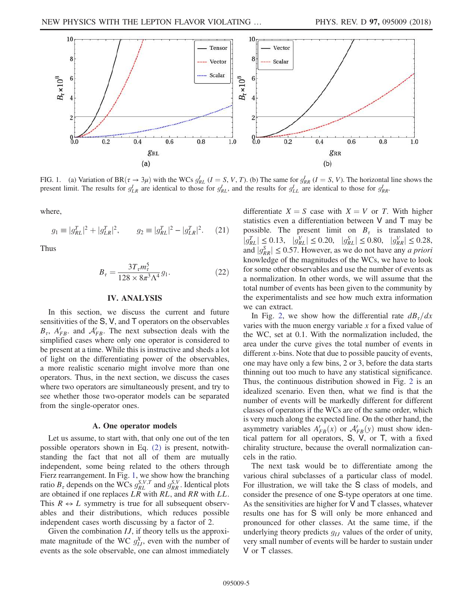

FIG. 1. (a) Variation of BR $(\tau \to 3\mu)$  with the WCs  $g_{RL}^{I}$   $(I = S, V, T)$ . (b) The same for  $g_{RR}^{I}$   $(I = S, V)$ . The horizontal line shows the present limit. The results for  $g_{LR}^I$  are identical to those for  $g_{RL}^I$ , and the results for  $g_{LL}^I$  are identical to those for  $g_{RR}^I$ .

where,

$$
g_1 \equiv |g_{RL}^T|^2 + |g_{LR}^T|^2, \qquad g_2 \equiv |g_{RL}^T|^2 - |g_{LR}^T|^2. \tag{21}
$$

Thus

$$
B_{\tau} = \frac{3T_{\tau}m_{\tau}^{5}}{128 \times 8\pi^{3}\Lambda^{4}}g_{1}.
$$
 (22)

#### IV. ANALYSIS

In this section, we discuss the current and future sensitivities of the S, V, and T operators on the observables  $B_{\tau}$ ,  $A'_{FB}$ , and  $A'_{FB}$ . The next subsection deals with the simplified cases where only one operator is considered to be present at a time. While this is instructive and sheds a lot of light on the differentiating power of the observables, a more realistic scenario might involve more than one operators. Thus, in the next section, we discuss the cases where two operators are simultaneously present, and try to see whether those two-operator models can be separated from the single-operator ones.

#### A. One operator models

Let us assume, to start with, that only one out of the ten possible operators shown in Eq. (2) is present, notwithstanding the fact that not all of them are mutually independent, some being related to the others through Fierz rearrangement. In Fig. 1, we show how the branching ratio  $B_{\tau}$  depends on the WCs  $g_{RL}^{S,V,T}$  and  $g_{RR}^{S,V}$ . Identical plots are obtained if one replaces  $LR$  with  $RL$ , and  $RR$  with  $LL$ . This  $R \leftrightarrow L$  symmetry is true for all subsequent observables and their distributions, which reduces possible independent cases worth discussing by a factor of 2.

Given the combination *IJ*, if theory tells us the approximate magnitude of the WC  $g_{IJ}^X$ , even with the number of events as the sole observable, one can almost immediately

differentiate  $X = S$  case with  $X = V$  or T. With higher statistics even a differentiation between V and T may be possible. The present limit on  $B_{\tau}$  is translated to  $|g_{RL}^T| \le 0.13, \quad |g_{RL}^V| \le 0.20, \quad |g_{RL}^S| \le 0.80, \quad |g_{RR}^V| \le 0.28,$ and  $|g_{RR}^S| \le 0.57$ . However, as we do not have any *a priori* knowledge of the magnitudes of the WCs, we have to look for some other observables and use the number of events as a normalization. In other words, we will assume that the total number of events has been given to the community by the experimentalists and see how much extra information we can extract.

In Fig. 2, we show how the differential rate  $dB_z/dx$ varies with the muon energy variable  $x$  for a fixed value of the WC, set at 0.1. With the normalization included, the area under the curve gives the total number of events in different x-bins. Note that due to possible paucity of events, one may have only a few bins, 2 or 3, before the data starts thinning out too much to have any statistical significance. Thus, the continuous distribution showed in Fig. 2 is an idealized scenario. Even then, what we find is that the number of events will be markedly different for different classes of operators if the WCs are of the same order, which is very much along the expected line. On the other hand, the asymmetry variables  $A'_{FB}(x)$  or  $A'_{FB}(y)$  must show identical pattern for all operators, S, V, or T, with a fixed chirality structure, because the overall normalization cancels in the ratio.

The next task would be to differentiate among the various chiral subclasses of a particular class of model. For illustration, we will take the S class of models, and consider the presence of one S-type operators at one time. As the sensitivities are higher for  $V$  and  $T$  classes, whatever results one has for S will only be more enhanced and pronounced for other classes. At the same time, if the underlying theory predicts  $q_U$  values of the order of unity, very small number of events will be harder to sustain under V or T classes.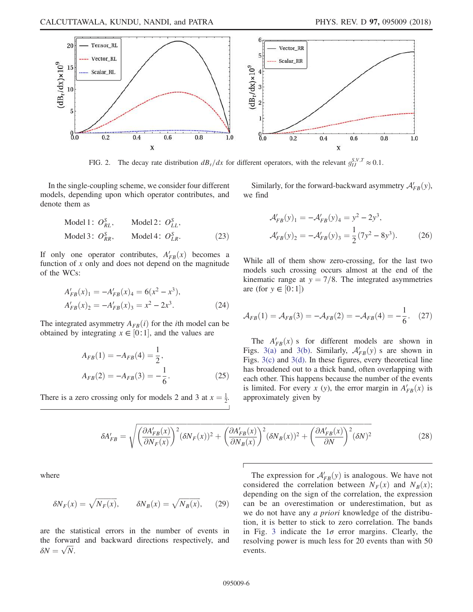

FIG. 2. The decay rate distribution  $dB_z/dx$  for different operators, with the relevant  $g_{IJ}^{S,V,T} \approx 0.1$ .

In the single-coupling scheme, we consider four different models, depending upon which operator contributes, and denote them as

Similarly, for the forward-backward asymmetry  $\mathcal{A}_{FB}'(y)$ , we find

Model 1: 
$$
O_{RL}^S
$$
, Model 2:  $O_{LL}^S$ ,  
Model 3:  $O_{RR}^S$ , Model 4:  $O_{LR}^S$ . (23)

If only one operator contributes,  $A'_{FB}(x)$  becomes a function of  $x$  only and does not depend on the magnitude of the WCs:

$$
A'_{FB}(x)_1 = -A'_{FB}(x)_4 = 6(x^2 - x^3),
$$
  
\n
$$
A'_{FB}(x)_2 = -A'_{FB}(x)_3 = x^2 - 2x^3.
$$
\n(24)

The integrated asymmetry  $A_{FB}(i)$  for the *i*th model can be obtained by integrating  $x \in [0:1]$ , and the values are

$$
A_{FB}(1) = -A_{FB}(4) = \frac{1}{2},
$$
  
\n
$$
A_{FB}(2) = -A_{FB}(3) = -\frac{1}{6}.
$$
\n(25)

There is a zero crossing only for models 2 and 3 at  $x = \frac{1}{2}$ .

$$
\mathcal{A}'_{FB}(y)_1 = -\mathcal{A}'_{FB}(y)_4 = y^2 - 2y^3,
$$
  

$$
\mathcal{A}'_{FB}(y)_2 = -\mathcal{A}'_{FB}(y)_3 = \frac{1}{2}(7y^2 - 8y^3).
$$
 (26)

While all of them show zero-crossing, for the last two models such crossing occurs almost at the end of the kinematic range at  $y = \frac{7}{8}$ . The integrated asymmetries are (for  $y \in [0:1]$ )

$$
A_{FB}(1) = A_{FB}(3) = -A_{FB}(2) = -A_{FB}(4) = -\frac{1}{6}.
$$
 (27)

The  $A'_{FB}(x)$  s for different models are shown in Figs. 3(a) and 3(b). Similarly,  $A'_{FB}(y)$  s are shown in Figs. 3(c) and 3(d). In these figures, every theoretical line has broadened out to a thick band, often overlapping with each other. This happens because the number of the events is limited. For every x (y), the error margin in  $A'_{FB}(x)$  is approximately given by

$$
\delta A'_{FB} = \sqrt{\left(\frac{\partial A'_{FB}(x)}{\partial N_F(x)}\right)^2 (\delta N_F(x))^2 + \left(\frac{\partial A'_{FB}(x)}{\partial N_B(x)}\right)^2 (\delta N_B(x))^2 + \left(\frac{\partial A'_{FB}(x)}{\partial N}\right)^2 (\delta N)^2}
$$
(28)

where

$$
\delta N_F(x) = \sqrt{N_F(x)}, \qquad \delta N_B(x) = \sqrt{N_B(x)}, \qquad (29)
$$

are the statistical errors in the number of events in the forward and backward directions respectively, and  $\delta N = \sqrt{N}.$ 

The expression for  $A'_{FB}(y)$  is analogous. We have not considered the correlation between  $N_F(x)$  and  $N_B(x)$ ; depending on the sign of the correlation, the expression can be an overestimation or underestimation, but as we do not have any a priori knowledge of the distribution, it is better to stick to zero correlation. The bands in Fig. 3 indicate the  $1\sigma$  error margins. Clearly, the resolving power is much less for 20 events than with 50 events.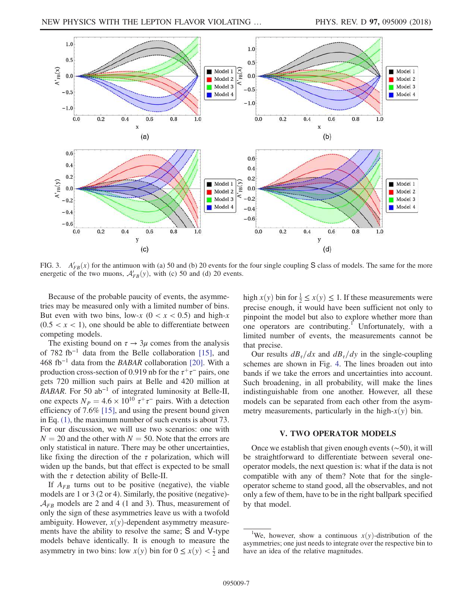

FIG. 3.  $A'_{FB}(x)$  for the antimuon with (a) 50 and (b) 20 events for the four single coupling S class of models. The same for the more energetic of the two muons,  $\mathcal{A}_{FB}'(y)$ , with (c) 50 and (d) 20 events.

Because of the probable paucity of events, the asymmetries may be measured only with a limited number of bins. But even with two bins, low-x  $(0 < x < 0.5)$  and high-x  $(0.5 < x < 1)$ , one should be able to differentiate between competing models.

The existing bound on  $\tau \to 3\mu$  comes from the analysis of 782 fb<sup>−</sup><sup>1</sup> data from the Belle collaboration [15], and 468 fb<sup>-1</sup> data from the BABAR collaboration [20]. With a production cross-section of 0.919 nb for the  $\tau^+\tau^-$  pairs, one gets 720 million such pairs at Belle and 420 million at BABAR. For 50 ab<sup>-1</sup> of integrated luminosity at Belle-II, one expects  $N_P = 4.6 \times 10^{10} \tau^+ \tau^-$  pairs. With a detection efficiency of 7.6% [15], and using the present bound given in Eq. (1), the maximum number of such events is about 73. For our discussion, we will use two scenarios: one with  $N = 20$  and the other with  $N = 50$ . Note that the errors are only statistical in nature. There may be other uncertainties, like fixing the direction of the  $\tau$  polarization, which will widen up the bands, but that effect is expected to be small with the  $\tau$  detection ability of Belle-II.

If  $A_{FB}$  turns out to be positive (negative), the viable models are 1 or 3 (2 or 4). Similarly, the positive (negative)-  $\mathcal{A}_{FB}$  models are 2 and 4 (1 and 3). Thus, measurement of only the sign of these asymmetries leave us with a twofold ambiguity. However,  $x(y)$ -dependent asymmetry measurements have the ability to resolve the same; S and V-type models behave identically. It is enough to measure the asymmetry in two bins: low  $x(y)$  bin for  $0 \le x(y) < \frac{1}{2}$  and

high  $x(y)$  bin for  $\frac{1}{2} \le x(y) \le 1$ . If these measurements were precise enough, it would have been sufficient not only to pinpoint the model but also to explore whether more than one operators are contributing.<sup>1</sup> Unfortunately, with a limited number of events, the measurements cannot be that precise.

Our results  $dB_\tau/dx$  and  $dB_\tau/dy$  in the single-coupling schemes are shown in Fig. 4. The lines broaden out into bands if we take the errors and uncertainties into account. Such broadening, in all probability, will make the lines indistinguishable from one another. However, all these models can be separated from each other from the asymmetry measurements, particularly in the high- $x(y)$  bin.

### V. TWO OPERATOR MODELS

Once we establish that given enough events (∼50), it will be straightforward to differentiate between several oneoperator models, the next question is: what if the data is not compatible with any of them? Note that for the singleoperator scheme to stand good, all the observables, and not only a few of them, have to be in the right ballpark specified by that model.

<sup>&</sup>lt;sup>1</sup>We, however, show a continuous  $x(y)$ -distribution of the asymmetries; one just needs to integrate over the respective bin to have an idea of the relative magnitudes.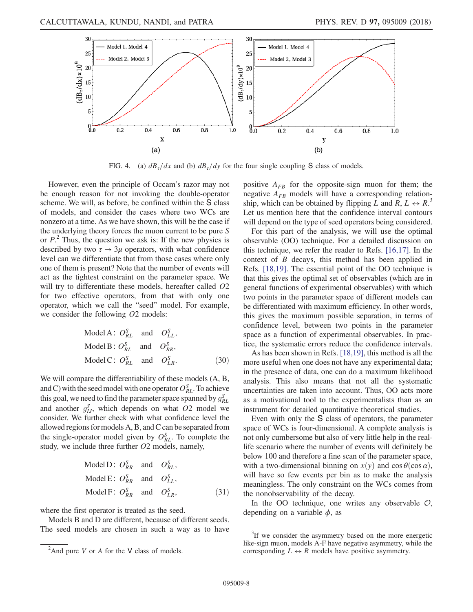

FIG. 4. (a)  $dB_{\tau}/dx$  and (b)  $dB_{\tau}/dy$  for the four single coupling S class of models.

However, even the principle of Occam's razor may not be enough reason for not invoking the double-operator scheme. We will, as before, be confined within the S class of models, and consider the cases where two WCs are nonzero at a time. As we have shown, this will be the case if the underlying theory forces the muon current to be pure S or  $P^2$ . Thus, the question we ask is: If the new physics is described by two  $\tau \rightarrow 3\mu$  operators, with what confidence level can we differentiate that from those cases where only one of them is present? Note that the number of events will act as the tightest constraint on the parameter space. We will try to differentiate these models, hereafter called  $O2$ for two effective operators, from that with only one operator, which we call the "seed" model. For example, we consider the following  $O2$  models:

Model A: 
$$
O_{RL}^S
$$
 and  $O_{LL}^S$ ,  
\nModel B:  $O_{RL}^S$  and  $O_{RR}^S$ ,  
\nModel C:  $O_{RL}^S$  and  $O_{LR}^S$ . (30)

We will compare the differentiability of these models (A, B, and C) with the seed model with one operator  $O_{RL}^S$ . To achieve this goal, we need to find the parameter space spanned by  $g_{RL}^S$ and another  $g_{IJ}^S$ , which depends on what O2 model we consider. We further check with what confidence level the allowed regions for models A, B, and C can be separated from the single-operator model given by  $O_{RL}^S$ . To complete the study, we include three further O2 models, namely,

Model D: 
$$
O_{RR}^S
$$
 and  $O_{RL}^S$ ,  
\nModel E:  $O_{RR}^S$  and  $O_{LL}^S$ ,  
\nModel F:  $O_{RR}^S$  and  $O_{LR}^S$ , (31)

where the first operator is treated as the seed.

Models B and D are different, because of different seeds. The seed models are chosen in such a way as to have positive  $A_{FB}$  for the opposite-sign muon for them; the negative  $A_{FB}$  models will have a corresponding relationship, which can be obtained by flipping  $\hat{L}$  and  $\hat{R}$ ,  $L \leftrightarrow \hat{R}$ . Let us mention here that the confidence interval contours will depend on the type of seed operators being considered.

For this part of the analysis, we will use the optimal observable (OO) technique. For a detailed discussion on this technique, we refer the reader to Refs. [16,17]. In the context of B decays, this method has been applied in Refs. [18,19]. The essential point of the OO technique is that this gives the optimal set of observables (which are in general functions of experimental observables) with which two points in the parameter space of different models can be differentiated with maximum efficiency. In other words, this gives the maximum possible separation, in terms of confidence level, between two points in the parameter space as a function of experimental observables. In practice, the systematic errors reduce the confidence intervals.

As has been shown in Refs. [18,19], this method is all the more useful when one does not have any experimental data; in the presence of data, one can do a maximum likelihood analysis. This also means that not all the systematic uncertainties are taken into account. Thus, OO acts more as a motivational tool to the experimentalists than as an instrument for detailed quantitative theoretical studies.

Even with only the S class of operators, the parameter space of WCs is four-dimensional. A complete analysis is not only cumbersome but also of very little help in the reallife scenario where the number of events will definitely be below 100 and therefore a fine scan of the parameter space, with a two-dimensional binning on  $x(y)$  and  $\cos \theta(\cos \alpha)$ , will have so few events per bin as to make the analysis meaningless. The only constraint on the WCs comes from the nonobservability of the decay.

In the OO technique, one writes any observable  $\mathcal{O}$ , depending on a variable  $\phi$ , as

<sup>&</sup>lt;sup>2</sup>And pure *V* or *A* for the *V* class of models.

<sup>&</sup>lt;sup>3</sup>If we consider the asymmetry based on the more energetic like-sign muon, models A-F have negative asymmetry, while the corresponding  $L \leftrightarrow R$  models have positive asymmetry.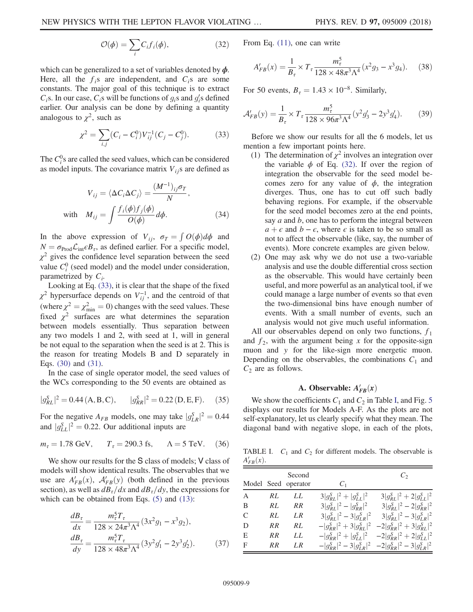$$
\mathcal{O}(\phi) = \sum_{i} C_{i} f_{i}(\phi), \qquad (32)
$$

which can be generalized to a set of variables denoted by  $\phi$ . Here, all the  $f_i$ s are independent, and  $C_i$ s are some constants. The major goal of this technique is to extract  $C_i$ s. In our case,  $C_i$ s will be functions of  $g_i$ s and  $g'_i$ s defined earlier. Our analysis can be done by defining a quantity analogous to  $\chi^2$ , such as

$$
\chi^2 = \sum_{i,j} (C_i - C_i^0) V_{ij}^{-1} (C_j - C_j^0). \tag{33}
$$

The  $C_i^0$ s are called the seed values, which can be considered as model inputs. The covariance matrix  $V_{ij}$ s are defined as

$$
V_{ij} = \langle \Delta C_i \Delta C_j \rangle = \frac{(M^{-1})_{ij} \sigma_T}{N},
$$
  
with 
$$
M_{ij} = \int \frac{f_i(\phi) f_j(\phi)}{O(\phi)} d\phi.
$$
 (34)

In the above expression of  $V_{ij}$ ,  $\sigma_T = \int O(\phi) d\phi$  and  $N = \sigma_{\text{Prod}} \mathcal{L}_{\text{int}} \epsilon B_{\tau}$ , as defined earlier. For a specific model,  $\chi^2$  gives the confidence level separation between the seed value  $C_i^0$  (seed model) and the model under consideration, parametrized by  $C_i$ .

Looking at Eq. (33), it is clear that the shape of the fixed  $\chi^2$  hypersurface depends on  $V_{ij}^{-1}$ , and the centroid of that (where  $\chi^2 = \chi^2_{\text{min}} = 0$ ) changes with the seed values. These fixed  $\chi^2$  surfaces are what determines the separation between models essentially. Thus separation between any two models 1 and 2, with seed at 1, will in general be not equal to the separation when the seed is at 2. This is the reason for treating Models B and D separately in Eqs. (30) and (31).

In the case of single operator model, the seed values of the WCs corresponding to the 50 events are obtained as

$$
|g_{RL}^S|^2 = 0.44 \, (A, B, C), \qquad |g_{RR}^S|^2 = 0.22 \, (D, E, F). \tag{35}
$$

For the negative  $A_{FB}$  models, one may take  $|g_{LR}^S|^2 = 0.44$ and  $|g_{LL}^S|^2 = 0.22$ . Our additional inputs are

$$
m_{\tau} = 1.78 \text{ GeV}, \qquad T_{\tau} = 290.3 \text{ fs}, \qquad \Lambda = 5 \text{ TeV}. \tag{36}
$$

We show our results for the S class of models; V class of models will show identical results. The observables that we use are  $A'_{FB}(x)$ ,  $A'_{FB}(y)$  (both defined in the previous section), as well as  $dB_\tau/dx$  and  $dB_\tau/dy$ , the expressions for which can be obtained from Eqs. (5) and (13):

$$
\frac{dB_{\tau}}{dx} = \frac{m_{\tau}^{5}T_{\tau}}{128 \times 24\pi^{3}\Lambda^{4}} (3x^{2}g_{1} - x^{3}g_{2}),
$$
\n
$$
\frac{dB_{\tau}}{dy} = \frac{m_{\tau}^{5}T_{\tau}}{128 \times 48\pi^{3}\Lambda^{4}} (3y^{2}g_{1}' - 2y^{3}g_{2}').
$$
\n(37)

From Eq. (11), one can write

$$
A'_{FB}(x) = \frac{1}{B_{\tau}} \times T_{\tau} \frac{m_{\tau}^5}{128 \times 48\pi^3 \Lambda^4} (x^2 g_3 - x^3 g_4). \tag{38}
$$

For 50 events,  $B_{\tau} = 1.43 \times 10^{-8}$ . Similarly,

$$
\mathcal{A}'_{FB}(y) = \frac{1}{B_{\tau}} \times T_{\tau} \frac{m_{\tau}^5}{128 \times 96\pi^3 \Lambda^4} (y^2 g_3' - 2y^3 g_4').
$$
 (39)

Before we show our results for all the 6 models, let us mention a few important points here.

- (1) The determination of  $\chi^2$  involves an integration over the variable  $\phi$  of Eq. (32). If over the region of integration the observable for the seed model becomes zero for any value of  $\phi$ , the integration diverges. Thus, one has to cut off such badly behaving regions. For example, if the observable for the seed model becomes zero at the end points, say  $a$  and  $b$ , one has to perform the integral between  $a + \epsilon$  and  $b - \epsilon$ , where  $\epsilon$  is taken to be so small as not to affect the observable (like, say, the number of events). More concrete examples are given below.
- (2) One may ask why we do not use a two-variable analysis and use the double differential cross section as the observable. This would have certainly been useful, and more powerful as an analytical tool, if we could manage a large number of events so that even the two-dimensional bins have enough number of events. With a small number of events, such an analysis would not give much useful information.

All our observables depend on only two functions,  $f_1$ and  $f_2$ , with the argument being x for the opposite-sign muon and y for the like-sign more energetic muon. Depending on the observables, the combinations  $C_1$  and  $C_2$  are as follows.

# A. Observable:  $A'_{FB}(x)$

We show the coefficients  $C_1$  and  $C_2$  in Table I, and Fig. 5 displays our results for Models A-F. As the plots are not self-explanatory, let us clearly specify what they mean. The diagonal band with negative slope, in each of the plots,

TABLE I.  $C_1$  and  $C_2$  for different models. The observable is  $A'_{FB}(x)$ .

|   |    | Second<br>Model Seed operator | $C_1$                           | $\mathcal{C}_{2}$                                               |
|---|----|-------------------------------|---------------------------------|-----------------------------------------------------------------|
| A | RL | LL                            | $3 g_{RL}^S ^2+ g_{LL}^S ^2$    | $3 g_{RL}^S ^2 + 2 g_{LL}^S ^2$                                 |
| B | RL | RR                            | $3 g_{RL}^S ^2 -  g_{RR}^S ^2$  | $3 g_{RL}^S ^2 - 2 g_{RR}^S ^2$                                 |
| C | RL | LR.                           | $3 g_{RL}^S ^2 - 3 g_{LR}^S ^2$ | $3 g_{RL}^S ^2 - 3 g_{LR}^S ^2$                                 |
| D | RR | RL                            |                                 | $- g_{RR}^S ^2 + 3 g_{RL}^S ^2 - 2 g_{RR}^S ^2 + 3 g_{RL}^S ^2$ |
| E | RR | LL                            |                                 | $- g_{RR}^S ^2+ g_{LL}^S ^2$ $-2 g_{RR}^S ^2+2 g_{LL}^S ^2$     |
| F | RR | LR.                           |                                 | $- g_{RR}^S ^2 - 3 g_{LR}^S ^2 - 2 g_{RR}^S ^2 - 3 g_{LR}^S ^2$ |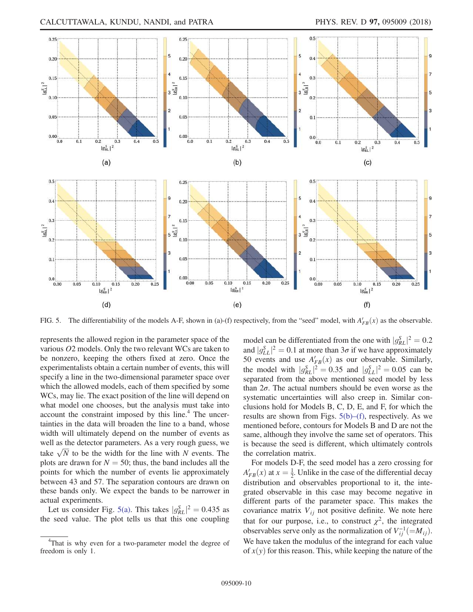

FIG. 5. The differentiability of the models A-F, shown in (a)-(f) respectively, from the "seed" model, with  $A'_{FB}(x)$  as the observable.

represents the allowed region in the parameter space of the various O2 models. Only the two relevant WCs are taken to be nonzero, keeping the others fixed at zero. Once the experimentalists obtain a certain number of events, this will specify a line in the two-dimensional parameter space over which the allowed models, each of them specified by some WCs, may lie. The exact position of the line will depend on what model one chooses, but the analysis must take into account the constraint imposed by this line. $4$  The uncertainties in the data will broaden the line to a band, whose width will ultimately depend on the number of events as well as the detector parameters. As a very rough guess, we take  $\sqrt{N}$  to be the width for the line with N events. The plots are drawn for  $N = 50$ ; thus, the band includes all the points for which the number of events lie approximately between 43 and 57. The separation contours are drawn on these bands only. We expect the bands to be narrower in actual experiments.

Let us consider Fig. 5(a). This takes  $|g_{RL}^S|^2 = 0.435$  as the seed value. The plot tells us that this one coupling

model can be differentiated from the one with  $|g_{RL}^S|^2 = 0.2$ and  $|g_{LL}^S|^2 = 0.1$  at more than  $3\sigma$  if we have approximately 50 events and use  $A'_{FB}(x)$  as our observable. Similarly, the model with  $|g_{RL}^S|^2 = 0.35$  and  $|g_{LL}^S|^2 = 0.05$  can be separated from the above mentioned seed model by less than  $2\sigma$ . The actual numbers should be even worse as the systematic uncertainties will also creep in. Similar conclusions hold for Models B, C, D, E, and F, for which the results are shown from Figs.  $5(b)$ –(f), respectively. As we mentioned before, contours for Models B and D are not the same, although they involve the same set of operators. This is because the seed is different, which ultimately controls the correlation matrix.

For models D-F, the seed model has a zero crossing for  $A'_{FB}(x)$  at  $x = \frac{1}{2}$ . Unlike in the case of the differential decay distribution and observables proportional to it, the integrated observable in this case may become negative in different parts of the parameter space. This makes the covariance matrix  $V_{ij}$  not positive definite. We note here that for our purpose, i.e., to construct  $\chi^2$ , the integrated observables serve only as the normalization of  $V_{ij}^{-1} (= M_{ij}).$ We have taken the modulus of the integrand for each value of  $x(y)$  for this reason. This, while keeping the nature of the

<sup>&</sup>lt;sup>4</sup>That is why even for a two-parameter model the degree of freedom is only 1.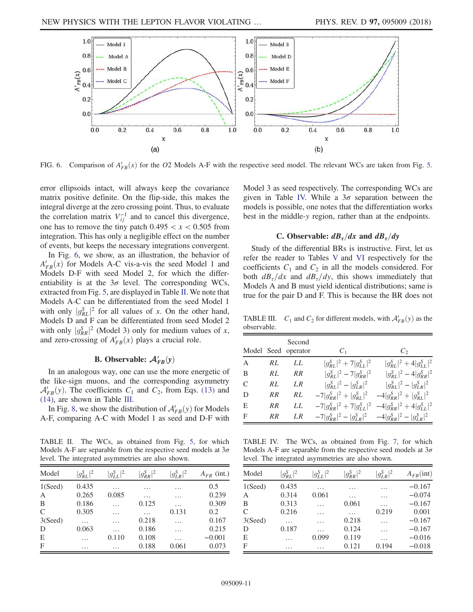

FIG. 6. Comparison of  $A'_{FB}(x)$  for the O2 Models A-F with the respective seed model. The relevant WCs are taken from Fig. 5.

error ellipsoids intact, will always keep the covariance matrix positive definite. On the flip-side, this makes the integral diverge at the zero crossing point. Thus, to evaluate the correlation matrix  $V_{ij}^{-1}$  and to cancel this divergence, one has to remove the tiny patch  $0.495 < x < 0.505$  from integration. This has only a negligible effect on the number of events, but keeps the necessary integrations convergent.

In Fig. 6, we show, as an illustration, the behavior of  $A'_{FB}(x)$  for Models A-C vis-a-vis the seed Model 1 and Models D-F with seed Model 2, for which the differentiability is at the  $3\sigma$  level. The corresponding WCs, extracted from Fig. 5, are displayed in Table II. We note that Models A-C can be differentiated from the seed Model 1 with only  $|g_{RL}|^2$  for all values of x. On the other hand, Models D and F can be differentiated from seed Model 2 with only  $|g_{RR}^S|^2$  (Model 3) only for medium values of x, and zero-crossing of  $A'_{FB}(x)$  plays a crucial role.

# **B.** Observable:  $\mathcal{A}'_{FB}(y)$

In an analogous way, one can use the more energetic of the like-sign muons, and the corresponding asymmetry  $\mathcal{A}_{FB}^{\prime}(y)$ . The coefficients  $C_1$  and  $C_2$ , from Eqs. (13) and (14), are shown in Table III.

In Fig. 8, we show the distribution of  $\mathcal{A}_{FB}'(y)$  for Models A-F, comparing A-C with Model 1 as seed and D-F with

TABLE II. The WCs, as obtained from Fig. 5, for which Models A-F are separable from the respective seed models at  $3\sigma$ level. The integrated asymmetries are also shown.

| Model   | $ g_{RI}^S ^2$ | $ g_{LL}^S ^2$ | $ g_{RR}^S ^2$ | $ g_{LR}^S ^2$ | $A_{FB}$ (int.) |
|---------|----------------|----------------|----------------|----------------|-----------------|
| 1(Seed) | 0.435          | .              | .              | .              | 0.5             |
| A       | 0.265          | 0.085          | .              | .              | 0.239           |
| B       | 0.186          | $\ddotsc$      | 0.125          | .              | 0.309           |
| C       | 0.305          | .              | $\cdots$       | 0.131          | 0.2             |
| 3(Seed) | $\cdots$       | .              | 0.218          | .              | 0.167           |
| D       | 0.063          | .              | 0.186          | .              | 0.215           |
| E       | $\cdots$       | 0.110          | 0.108          | .              | $-0.001$        |
| F       | $\cdots$       | .              | 0.188          | 0.061          | 0.073           |

Model 3 as seed respectively. The corresponding WCs are given in Table IV. While a  $3\sigma$  separation between the models is possible, one notes that the differentiation works best in the middle-y region, rather than at the endpoints.

## C. Observable:  $dB_{\tau}/dx$  and  $dB_{\tau}/dy$

Study of the differential BRs is instructive. First, let us refer the reader to Tables V and VI respectively for the coefficients  $C_1$  and  $C_2$  in all the models considered. For both  $dB_z/dx$  and  $dB_z/dy$ , this shows immediately that Models A and B must yield identical distributions; same is true for the pair D and F. This is because the BR does not

TABLE III.  $C_1$  and  $C_2$  for different models, with  $\mathcal{A}_{FB}'(y)$  as the observable.

|                |           | Second<br>Model Seed operator | $C_1$                                                             | $C_2$                          |
|----------------|-----------|-------------------------------|-------------------------------------------------------------------|--------------------------------|
| $\overline{A}$ | RL        | LL                            | $ g_{RL}^S ^2 + 7 g_{LL}^S ^2$                                    | $ g_{RL}^S ^2 + 4 g_{LL}^S ^2$ |
| B              | RL        | RR                            | $ g_{RL}^S ^2 - 7 g_{RR}^S ^2$                                    | $ g_{RI}^S ^2 - 4 g_{RR}^S ^2$ |
| C              | RL        | LR.                           | $ g_{RI}^S ^2 -  g_{IR}^S ^2$                                     | $ g_{RI}^S ^2 -  g_{LR}^S ^2$  |
| D              | <b>RR</b> | RL                            | $-7 g_{RR}^S ^2+ g_{RL}^S ^2$                                     | $-4 g_{RR}^S ^2+ g_{RL}^S ^2$  |
| E              | <b>RR</b> | LL                            | $-7 g_{RR}^S ^2 + 7 g_{LL}^S ^2$ $-4 g_{RR}^S ^2 + 4 g_{LL}^S ^2$ |                                |
| $\mathbf F$    | RR        | LR.                           | $-7 g_{RR}^S ^2 -  g_{LR}^S ^2$ $-4 g_{RR}^S ^2 -  g_{LR}^S ^2$   |                                |

TABLE IV. The WCs, as obtained from Fig. 7, for which Models A-F are separable from the respective seed models at  $3\sigma$ level. The integrated asymmetries are also shown.

| Model   | $ g_{RL}^S ^2$ | $ g_{LL}^S ^2$ | $ g_{RR}^S ^2$ | $ g_{LR}^S ^2$ | $A_{FB}$ (int) |
|---------|----------------|----------------|----------------|----------------|----------------|
| 1(Seed) | 0.435          | .              | .              | .              | $-0.167$       |
| A       | 0.314          | 0.061          |                | .              | $-0.074$       |
| B       | 0.313          |                | 0.061          | .              | $-0.167$       |
| C       | 0.216          | .              | .              | 0.219          | 0.001          |
| 3(Seed) | .              | .              | 0.218          | .              | $-0.167$       |
| D       | 0.187          | .              | 0.124          | .              | $-0.167$       |
| Е       | .              | 0.099          | 0.119          | .              | $-0.016$       |
| F       | .              |                | 0.121          | 0.194          | $-0.018$       |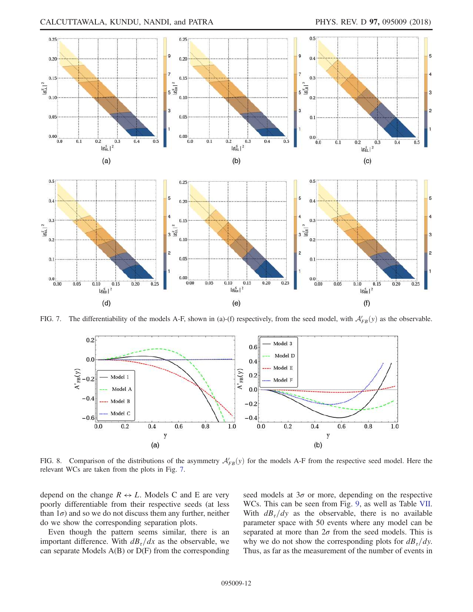

FIG. 7. The differentiability of the models A-F, shown in (a)-(f) respectively, from the seed model, with  $\mathcal{A}'_{FB}(y)$  as the observable.



FIG. 8. Comparison of the distributions of the asymmetry  $A'_{FB}(y)$  for the models A-F from the respective seed model. Here the relevant WCs are taken from the plots in Fig. 7.

depend on the change  $R \leftrightarrow L$ . Models C and E are very poorly differentiable from their respective seeds (at less than  $1\sigma$ ) and so we do not discuss them any further, neither do we show the corresponding separation plots.

Even though the pattern seems similar, there is an important difference. With  $dB<sub>\tau</sub>/dx$  as the observable, we can separate Models  $A(B)$  or  $D(F)$  from the corresponding seed models at  $3\sigma$  or more, depending on the respective WCs. This can be seen from Fig. 9, as well as Table VII. With  $dB_{\tau}/dy$  as the observable, there is no available parameter space with 50 events where any model can be separated at more than  $2\sigma$  from the seed models. This is why we do not show the corresponding plots for  $dB_z/dy$ . Thus, as far as the measurement of the number of events in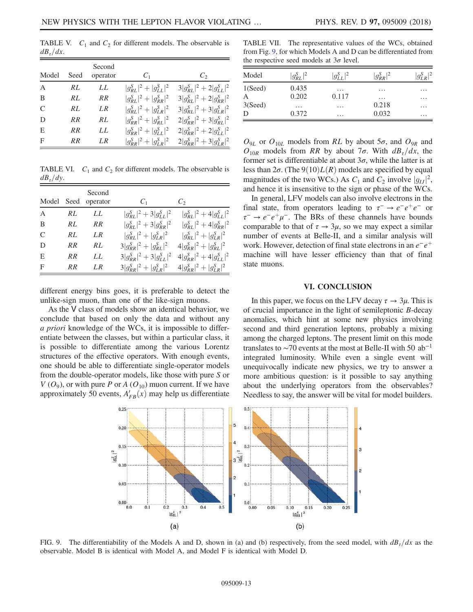TABLE V.  $C_1$  and  $C_2$  for different models. The observable is  $dB_{\tau}/dx$ .

| Model          | Seed      | Second<br>operator | $C_{1}$                       | $C_2$                           |
|----------------|-----------|--------------------|-------------------------------|---------------------------------|
| $\overline{A}$ | RL        | LL                 | $ g_{RL}^S ^2 +  g_{LL}^S ^2$ | $3 g_{RL}^S ^2 + 2 g_{LL}^S ^2$ |
| B              | RL        | <b>RR</b>          | $ g_{RI}^S ^2 +  g_{RR}^S ^2$ | $3 g_{RL}^S ^2 + 2 g_{RR}^S ^2$ |
| $\mathcal{C}$  | RL        | LR.                | $ g_{RL}^S ^2 +  g_{LR}^S ^2$ | $3 g_{RI}^S ^2 + 3 g_{IR}^S ^2$ |
| D              | <b>RR</b> | RL                 | $ g_{RR}^S ^2 +  g_{RL}^S ^2$ | $2 g_{RR}^S ^2 + 3 g_{RL}^S ^2$ |
| E              | <b>RR</b> | LL                 | $ g_{RR}^S ^2 +  g_{LL}^S ^2$ | $2 g_{RR}^S ^2 + 2 g_{LL}^S ^2$ |
| F              | RR        | LR.                | $ g_{RR}^S ^2 +  g_{LR}^S ^2$ | $2 g_{RR}^S ^2 + 3 g_{LR}^S ^2$ |

TABLE VI.  $C_1$  and  $C_2$  for different models. The observable is  $dB_{\tau}/dy$ .

| Model          | Seed      | Second<br>operator | $C_{1}$                         | $C_2$                          |
|----------------|-----------|--------------------|---------------------------------|--------------------------------|
| $\overline{A}$ | RL        | LL                 | $ g_{RI}^S ^2 + 3 g_{II}^S ^2$  | $ g_{RL}^S ^2 + 4 g_{LL}^S ^2$ |
| B              | RL        | RR                 | $ g_{RL}^S ^2 + 3 g_{RR}^S ^2$  | $ g_{RI}^S ^2 + 4 g_{RR}^S ^2$ |
| $\mathcal{C}$  | RL        | L <sub>R</sub>     | $ g_{RL}^S ^2 +  g_{LR}^S ^2$   | $ g_{RI}^S ^2 +  g_{LR}^S ^2$  |
| D              | RR        | RL                 | $3 g_{RR}^S ^2+ g_{RL}^S ^2$    | $4 g_{RR}^S ^2+ g_{RL}^S ^2$   |
| E              | <b>RR</b> | LL                 | $3 g_{RR}^S ^2 + 3 g_{LL}^S ^2$ | $4 g_{RR}^S ^2+4 g_{LL}^S ^2$  |
| F              | RR        | LR.                | $3 g_{RR}^S ^2+ g_{LR}^S ^2$    | $4 g_{RR}^S ^2+ g_{LR}^S ^2$   |

different energy bins goes, it is preferable to detect the unlike-sign muon, than one of the like-sign muons.

As the V class of models show an identical behavior, we conclude that based on only the data and without any a priori knowledge of the WCs, it is impossible to differentiate between the classes, but within a particular class, it is possible to differentiate among the various Lorentz structures of the effective operators. With enough events, one should be able to differentiate single-operator models from the double-operator models, like those with pure S or  $V(O_9)$ , or with pure P or A  $(O_{10})$  muon current. If we have approximately 50 events,  $A'_{FB}(x)$  may help us differentiate

TABLE VII. The representative values of the WCs, obtained from Fig. 9, for which Models A and D can be differentiated from the respective seed models at  $3\sigma$  level.

| Model   | $ g_{RL}^S ^2$ | $ g_{LL}^S ^2$ | $ g_{RR}^S ^2$ | $g_{LR}^S$ |
|---------|----------------|----------------|----------------|------------|
| 1(Seed) | 0.435          | $\cdots$       | $\cdots$       | .          |
| A       | 0.202          | 0.117          | $\cdots$       | .          |
| 3(Seed) | $\cdots$       | $\cdots$       | 0.218          | .          |
| D       | 0.372          | $\cdots$       | 0.032          | .          |

 $O_{9L}$  or  $O_{10L}$  models from RL by about 5 $\sigma$ , and  $O_{9R}$  and  $O_{10R}$  models from RR by about 7 $\sigma$ . With  $dB_{\tau}/dx$ , the former set is differentiable at about  $3\sigma$ , while the latter is at less than  $2\sigma$ . (The  $9(10)L(R)$  models are specified by equal magnitudes of the two WCs.) As  $C_1$  and  $C_2$  involve  $|g_{IJ}|^2$ , and hence it is insensitive to the sign or phase of the WCs.

In general, LFV models can also involve electrons in the final state, from operators leading to  $\tau^- \to e^-e^+e^-$  or  $\tau^- \to e^- e^+ \mu^-$ . The BRs of these channels have bounds comparable to that of  $\tau \to 3\mu$ , so we may expect a similar number of events at Belle-II, and a similar analysis will work. However, detection of final state electrons in an  $e^-e^+$ machine will have lesser efficiency than that of final state muons.

#### VI. CONCLUSION

In this paper, we focus on the LFV decay  $\tau \to 3\mu$ . This is of crucial importance in the light of semileptonic B-decay anomalies, which hint at some new physics involving second and third generation leptons, probably a mixing among the charged leptons. The present limit on this mode translates to  $\sim$ 70 events at the most at Belle-II with 50 ab<sup>-1</sup> integrated luminosity. While even a single event will unequivocally indicate new physics, we try to answer a more ambitious question: is it possible to say anything about the underlying operators from the observables? Needless to say, the answer will be vital for model builders.



FIG. 9. The differentiability of the Models A and D, shown in (a) and (b) respectively, from the seed model, with  $dB<sub>r</sub>/dx$  as the observable. Model B is identical with Model A, and Model F is identical with Model D.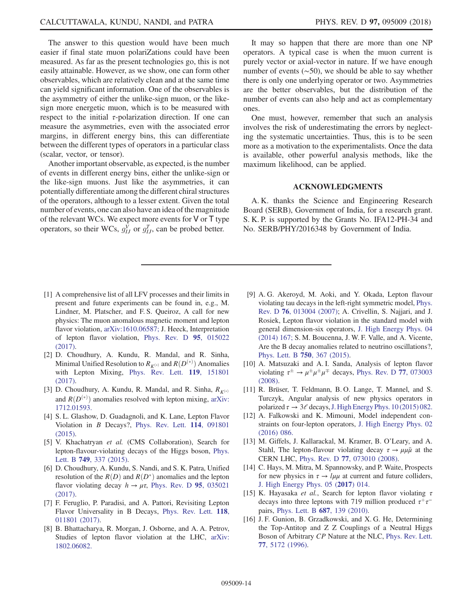The answer to this question would have been much easier if final state muon polariZations could have been measured. As far as the present technologies go, this is not easily attainable. However, as we show, one can form other observables, which are relatively clean and at the same time can yield significant information. One of the observables is the asymmetry of either the unlike-sign muon, or the likesign more energetic muon, which is to be measured with respect to the initial  $\tau$ -polarization direction. If one can measure the asymmetries, even with the associated error margins, in different energy bins, this can differentiate between the different types of operators in a particular class (scalar, vector, or tensor).

Another important observable, as expected, is the number of events in different energy bins, either the unlike-sign or the like-sign muons. Just like the asymmetries, it can potentially differentiate among the different chiral structures of the operators, although to a lesser extent. Given the total number of events, one can also have an idea of the magnitude of the relevant WCs. We expect more events for V or T type operators, so their WCs,  $g_{IJ}^V$  or  $g_{IJ}^T$ , can be probed better.

It may so happen that there are more than one NP operators. A typical case is when the muon current is purely vector or axial-vector in nature. If we have enough number of events (∼50), we should be able to say whether there is only one underlying operator or two. Asymmetries are the better observables, but the distribution of the number of events can also help and act as complementary ones.

One must, however, remember that such an analysis involves the risk of underestimating the errors by neglecting the systematic uncertainties. Thus, this is to be seen more as a motivation to the experimentalists. Once the data is available, other powerful analysis methods, like the maximum likelihood, can be applied.

# ACKNOWLEDGMENTS

A. K. thanks the Science and Engineering Research Board (SERB), Government of India, for a research grant. S. K. P. is supported by the Grants No. IFA12-PH-34 and No. SERB/PHY/2016348 by Government of India.

- [1] A comprehensive list of all LFV processes and their limits in present and future experiments can be found in, e.g., M. Lindner, M. Platscher, and F. S. Queiroz, A call for new physics: The muon anomalous magnetic moment and lepton flavor violation, arXiv:1610.06587; J. Heeck, Interpretation of lepton flavor violation, Phys. Rev. D 95, 015022 (2017).
- [2] D. Choudhury, A. Kundu, R. Mandal, and R. Sinha, Minimal Unified Resolution to  $R_{K^{(*)}}$  and  $R(D^{(*)})$  Anomalies with Lepton Mixing, Phys. Rev. Lett. 119, 151801 (2017).
- [3] D. Choudhury, A. Kundu, R. Mandal, and R. Sinha,  $R_{K^{(*)}}$ and  $R(D^{(*)})$  anomalies resolved with lepton mixing, arXiv: 1712.01593.
- [4] S. L. Glashow, D. Guadagnoli, and K. Lane, Lepton Flavor Violation in B Decays?, Phys. Rev. Lett. 114, 091801 (2015).
- [5] V. Khachatryan et al. (CMS Collaboration), Search for lepton-flavour-violating decays of the Higgs boson, Phys. Lett. B **749**, 337 (2015).
- [6] D. Choudhury, A. Kundu, S. Nandi, and S. K. Patra, Unified resolution of the  $R(D)$  and  $R(D^*)$  anomalies and the lepton flavor violating decay  $h \to \mu \tau$ , Phys. Rev. D 95, 035021 (2017).
- [7] F. Feruglio, P. Paradisi, and A. Pattori, Revisiting Lepton Flavor Universality in B Decays, Phys. Rev. Lett. 118, 011801 (2017).
- [8] B. Bhattacharya, R. Morgan, J. Osborne, and A. A. Petrov, Studies of lepton flavor violation at the LHC, arXiv: 1802.06082.
- [9] A. G. Akeroyd, M. Aoki, and Y. Okada, Lepton flavour violating tau decays in the left-right symmetric model, Phys. Rev. D 76, 013004 (2007); A. Crivellin, S. Najjari, and J. Rosiek, Lepton flavor violation in the standard model with general dimension-six operators, J. High Energy Phys. 04 (2014) 167; S. M. Boucenna, J. W. F. Valle, and A. Vicente, Are the B decay anomalies related to neutrino oscillations?, Phys. Lett. B 750, 367 (2015).
- [10] A. Matsuzaki and A. I. Sanda, Analysis of lepton flavor violating  $\tau^{\pm} \rightarrow \mu^{\pm} \mu^{\mp}$  decays, Phys. Rev. D 77, 073003 (2008).
- [11] R. Brüser, T. Feldmann, B.O. Lange, T. Mannel, and S. Turczyk, Angular analysis of new physics operators in polarized  $\tau \to 3\ell$  decays, J. High Energy Phys. 10 (2015) 082.
- [12] A. Falkowski and K. Mimouni, Model independent constraints on four-lepton operators, J. High Energy Phys. 02 (2016) 086.
- [13] M. Giffels, J. Kallarackal, M. Kramer, B. O'Leary, and A. Stahl, The lepton-flavour violating decay  $\tau \rightarrow \mu \mu \bar{\mu}$  at the CERN LHC, Phys. Rev. D 77, 073010 (2008).
- [14] C. Hays, M. Mitra, M. Spannowsky, and P. Waite, Prospects for new physics in  $\tau \rightarrow l\mu\mu$  at current and future colliders, J. High Energy Phys. 05 (2017) 014.
- [15] K. Hayasaka et al., Search for lepton flavor violating  $\tau$ decays into three leptons with 719 million produced  $\tau^+\tau^$ pairs, Phys. Lett. B 687, 139 (2010).
- [16] J. F. Gunion, B. Grzadkowski, and X. G. He, Determining the Top-Antitop and Z Z Couplings of a Neutral Higgs Boson of Arbitrary CP Nature at the NLC, Phys. Rev. Lett. 77, 5172 (1996).